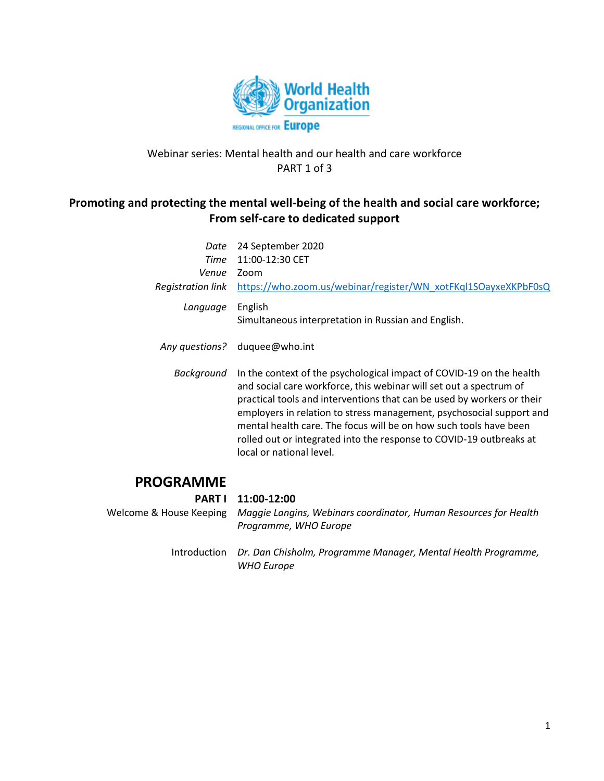

## Webinar series: Mental health and our health and care workforce PART 1 of 3

# **Promoting and protecting the mental well-being of the health and social care workforce; From self-care to dedicated support**

| Date<br>Time<br>Venue<br><b>Registration link</b> | 24 September 2020<br>11:00-12:30 CET<br>Zoom<br>https://who.zoom.us/webinar/register/WN_xotFKql1SOayxeXKPbF0sQ                                                                                                                                                                                                                                                                                                                                                       |
|---------------------------------------------------|----------------------------------------------------------------------------------------------------------------------------------------------------------------------------------------------------------------------------------------------------------------------------------------------------------------------------------------------------------------------------------------------------------------------------------------------------------------------|
| Language                                          | English<br>Simultaneous interpretation in Russian and English.                                                                                                                                                                                                                                                                                                                                                                                                       |
| Any questions?                                    | duquee@who.int                                                                                                                                                                                                                                                                                                                                                                                                                                                       |
| Background                                        | In the context of the psychological impact of COVID-19 on the health<br>and social care workforce, this webinar will set out a spectrum of<br>practical tools and interventions that can be used by workers or their<br>employers in relation to stress management, psychosocial support and<br>mental health care. The focus will be on how such tools have been<br>rolled out or integrated into the response to COVID-19 outbreaks at<br>local or national level. |
| <b>¿OGRAMME</b>                                   |                                                                                                                                                                                                                                                                                                                                                                                                                                                                      |

## **PR**

### **PART I 11:00-12:00**

Welcome & House Keeping *Maggie Langins, Webinars coordinator, Human Resources for Health Programme, WHO Europe*

> Introduction *Dr. Dan Chisholm, Programme Manager, Mental Health Programme, WHO Europe*